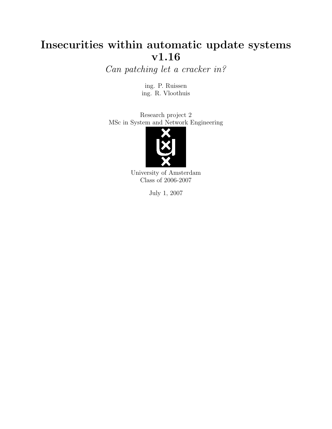# Insecurities within automatic update systems v1.16

Can patching let a cracker in?

ing. P. Ruissen ing. R. Vloothuis

Research project 2 MSc in System and Network Engineering



University of Amsterdam Class of 2006-2007

July 1, 2007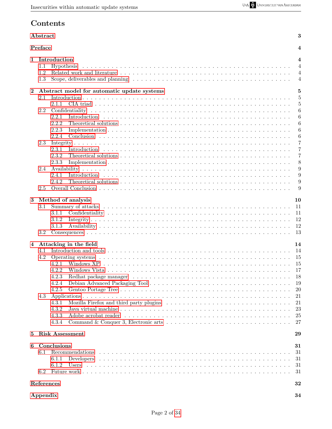# Contents

### <span id="page-1-0"></span>[Abstract](#page-1-0) 3

|          | Preface<br>4                                                                                                                                                                   |                                                                                  |  |  |
|----------|--------------------------------------------------------------------------------------------------------------------------------------------------------------------------------|----------------------------------------------------------------------------------|--|--|
| 1        | Introduction<br>Hypothesis<br>1.1<br>1.2<br>1.3                                                                                                                                | $\overline{\mathbf{4}}$<br>$\overline{4}$<br>$\overline{4}$<br>4                 |  |  |
| $\bf{2}$ | Abstract model for automatic update systems<br>2.1<br>2.1.1<br>2.2<br>2.2.1<br>2.2.2<br>2.2.3<br>2.2.4<br>2.3<br>2.3.1<br>2.3.2<br>2.3.3<br>2.4<br>2.4.1                       | 5<br>5<br>5<br>6<br>6<br>6<br>6<br>6<br>7<br>7<br>7<br>8<br>9<br>9               |  |  |
| 3        | 2.4.2<br>2.5<br>Method of analysis<br>3.1<br>3.1.1<br>3.1.2<br>3.1.3                                                                                                           | 9<br>9<br>10<br>11<br>11<br>12<br>12                                             |  |  |
| 4        | 3.2<br>Attacking in the field<br>4.1<br>4.2<br>4.2.1<br>4.2.2<br>4.2.3<br>4.2.4<br>4.2.5<br>4.3<br>4.3.1<br>Mozilla Firefox and third party plugins<br>4.3.2<br>4.3.3<br>4.3.4 | 13<br>14<br>14<br>15<br>15<br>17<br>18<br>19<br>20<br>21<br>21<br>23<br>25<br>27 |  |  |
| 5        | <b>Risk Assessment</b>                                                                                                                                                         | 29                                                                               |  |  |
| 6        | Conclusions<br>6.1<br>Recommendations<br>6.1.1<br>6.1.2<br>Users<br>6.2                                                                                                        | 31<br>31<br>31<br>31<br>31                                                       |  |  |
|          | References                                                                                                                                                                     | 32                                                                               |  |  |
|          | Appendix                                                                                                                                                                       | 34                                                                               |  |  |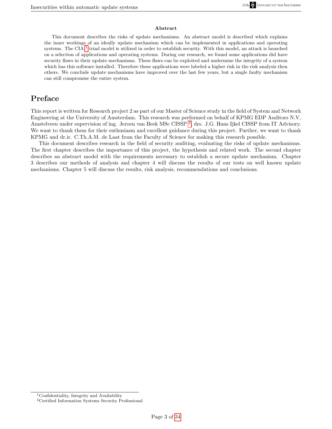#### Abstract

This document describes the risks of update mechanisms. An abstract model is described which explains the inner workings of an ideally update mechanism which can be implemented in applications and operating systems. The CIA  $^1$  $^1$  triad model is utilized in order to establish security. With this model, an attack is launched on a selection of applications and operating systems. During our research, we found some applications did have security flaws in their update mechanisms. These flaws can be exploited and undermine the integrity of a system which has this software installed. Therefore these applications were labeled a higher risk in the risk analysis then others. We conclude update mechanisms have improved over the last few years, but a single faulty mechanism can still compromise the entire system.

## Preface

<span id="page-2-0"></span>This report is written for Research project 2 as part of our Master of Science study in the field of System and Network Engineering at the University of Amsterdam. This research was performed on behalf of KPMG EDP Auditors N.V, Amstelveen under supervision of ing. Jeroen van Beek MSc CISSP<sup>[2](#page-2-2)</sup>, drs. J.G. Hans Ijkel CISSP from IT Advisory. We want to thank them for their enthusiasm and excellent guidance during this project. Further, we want to thank KPMG and dr.ir. C.Th.A.M. de Laat from the Faculty of Science for making this research possible.

This document describes research in the field of security auditing, evaluating the risks of update mechanisms. The first chapter describes the importance of this project, the hypothesis and related work. The second chapter describes an abstract model with the requirements necessary to establish a secure update mechanism. Chapter 3 describes our methods of analysis and chapter 4 will discuss the results of our tests on well known update mechanisms. Chapter 5 will discuss the results, risk analysis, recommendations and conclusions.

<span id="page-2-1"></span><sup>1</sup>Confidentiality, Integrity and Availability

<span id="page-2-2"></span><sup>2</sup>Certified Information Systems Security Professional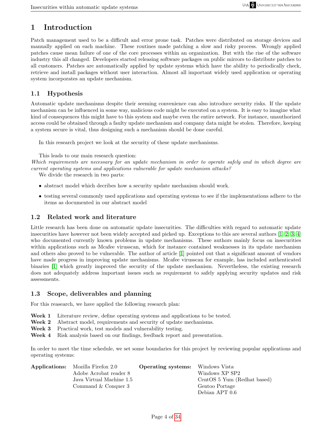# <span id="page-3-0"></span>1 Introduction

Patch management used to be a difficult and error prone task. Patches were distributed on storage devices and manually applied on each machine. These routines made patching a slow and risky process. Wrongly applied patches cause mean failure of one of the core processes within an organization. But with the rise of the software industry this all changed. Developers started releasing software packages on public mirrors to distribute patches to all customers. Patches are automatically applied by update systems which have the ability to periodically check, retrieve and install packages without user interaction. Almost all important widely used application or operating system incorporates an update mechanism.

#### <span id="page-3-1"></span>1.1 Hypothesis

Automatic update mechanisms despite their seeming convenience can also introduce security risks. If the update mechanism can be influenced in some way, malicious code might be executed on a system. It is easy to imagine what kind of consequences this might have to this system and maybe even the entire network. For instance, unauthorized access could be obtained through a faulty update mechanism and company data might be stolen. Therefore, keeping a system secure is vital, thus designing such a mechanism should be done careful.

In this research project we look at the security of these update mechanisms.

This leads to our main research question:

Which requirements are necessary for an update mechanism in order to operate safely and in which degree are current operating systems and applications vulnerable for update mechanism attacks?

We divide the research in two parts:

- abstract model which decribes how a security update mechanism should work.
- testing several commonly used applications and operating systems to see if the implementations adhere to the items as documented in our abstract model

#### <span id="page-3-2"></span>1.2 Related work and literature

Little research has been done on automatic update insecurities. The difficulties with regard to automatic update insecurities have however not been widely accepted and picked up. Exceptions to this are several authors [\[1,](#page-31-1) [2,](#page-31-2) [3,](#page-31-3) [4\]](#page-31-4) who documented currently known problems in update mechanisms. These authors mainly focus on insecurities within applications such as Mcafee virusscan, which for instance contained weaknesses in its update mechanism and others also proved to be vulnerable. The author of article [\[1\]](#page-31-1) pointed out that a significant amount of vendors have made progress in improving update mechanisms. Mcafee virusscan for example, has included authenticated binaries [\[1\]](#page-31-1) which greatly improved the security of the update mechanism. Nevertheless, the existing research does not adequately address important issues such as requirement to safely applying security updates and risk assessments.

#### <span id="page-3-3"></span>1.3 Scope, deliverables and planning

For this reasearch, we have applied the following research plan:

- Week 1 Literature review, define operating systems and applications to be tested.
- Week 2 Abstract model, requirements and security of update mechanisms.
- Week 3 Practical work, test models and vulnerability testing.
- Week 4 Risk analysis based on our findings, feedback report and presentation.

In order to meet the time schedule, we set some boundaries for this project by reviewing popular applications and operating systems:

| <b>Applications:</b> Mozilla Firefox 2.0 | <b>Operating systems:</b> Windows Vista |                             |
|------------------------------------------|-----------------------------------------|-----------------------------|
| Adobe Acrobat reader 8                   |                                         | Windows XP SP2              |
| Java Virtual Machine 1.5                 |                                         | CentOS 5 Yum (Redhat based) |
| Command & Conquer 3                      |                                         | Gentoo Portage              |
|                                          |                                         | Debian APT 0.6              |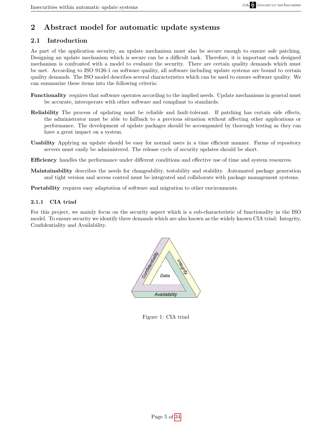# <span id="page-4-0"></span>2 Abstract model for automatic update systems

## <span id="page-4-1"></span>2.1 Introduction

As part of the application security, an update mechanism must also be secure enough to ensure safe patching. Designing an update mechanism which is secure can be a difficult task. Therefore, it is important each designed mechanism is confronted with a model to evaluate the security. There are certain quality demands which must be met. According to ISO 9126-1 on software quality, all software including update systems are bound to certain quality demands. The ISO model describes several characteristics which can be used to ensure software quality. We can summarize these items into the following criteria:

- Functionality requires that software operates according to the implied needs. Update mechanisms in general must be accurate, interoperate with other software and compliant to standards.
- Reliability The process of updating must be reliable and fault-tolerant. If patching has certain side effects, the administrator must be able to fallback to a previous situation without affecting other applications or performance. The development of update packages should be accompanied by thorough testing as they can have a great impact on a system.
- Usability Applying an update should be easy for normal users in a time efficient manner. Farms of repository servers must easily be administered. The release cycle of security updates should be short.
- Efficiency handles the performance under different conditions and effective use of time and system resources.
- Maintainability describes the needs for changeability, testability and stability. Automated package generation and tight version and access control must be integrated and collaborate with package management systems.

Portability requires easy adaptation of software and migration to other environments.

#### <span id="page-4-2"></span>2.1.1 CIA triad

For this project, we mainly focus on the security aspect which is a sub-characteristic of functionality in the ISO model. To ensure security we identify three demands which are also known as the widely known CIA triad: Integrity, Confidentiality and Availability.



Figure 1: CIA triad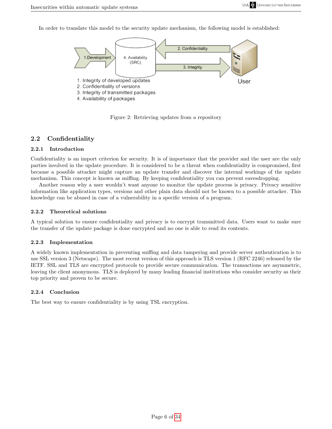In order to translate this model to the security update mechanism, the following model is established:



Figure 2: Retrieving updates from a repository

## <span id="page-5-0"></span>2.2 Confidentiality

## <span id="page-5-1"></span>2.2.1 Introduction

Confidentiality is an import criterion for security. It is of importance that the provider and the user are the only parties involved in the update procedure. It is considered to be a threat when confidentiality is compromised, first because a possible attacker might capture an update transfer and discover the internal workings of the update mechanism. This concept is known as sniffing. By keeping confidentiality you can prevent eavesdropping.

Another reason why a user wouldn't want anyone to monitor the update process is privacy. Privacy sensitive information like application types, versions and other plain data should not be known to a possible attacker. This knowledge can be abused in case of a vulnerability in a specific version of a program.

#### <span id="page-5-2"></span>2.2.2 Theoretical solutions

A typical solution to ensure confidentiality and privacy is to encrypt transmitted data. Users want to make sure the transfer of the update package is done encrypted and no one is able to read its contents.

#### <span id="page-5-3"></span>2.2.3 Implementation

A widely known implementation in preventing sniffing and data tampering and provide server authentication is to use SSL version 3 (Netscape). The most recent version of this approach is TLS version 1 (RFC 2246) released by the IETF. SSL and TLS are encrypted protocols to provide secure communication. The transactions are asymmetric, leaving the client anonymous. TLS is deployed by many leading financial institutions who consider security as their top priority and proven to be secure.

#### <span id="page-5-4"></span>2.2.4 Conclusion

The best way to ensure confidentiality is by using TSL encryption.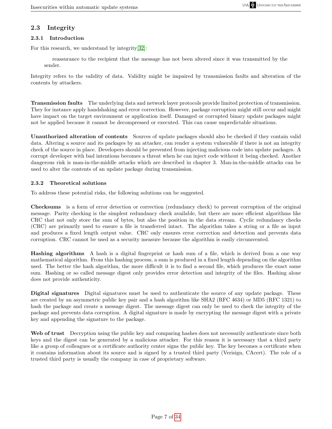## <span id="page-6-0"></span>2.3 Integrity

#### <span id="page-6-1"></span>2.3.1 Introduction

For this research, we understand by integrity[\[32\]](#page-32-0):

reassurance to the recipient that the message has not been altered since it was transmitted by the sender.

Integrity refers to the validity of data. Validity might be impaired by transmission faults and alteration of the contents by attackers.

Transmission faults The underlying data and network layer protocols provide limited protection of transmission. They for instance apply handshaking and error correction. However, package corruption might still occur and might have impact on the target environment or application itself. Damaged or corrupted binary update packages might not be applied because it cannot be decompressed or executed. This can cause unpredictable situations.

Unauthorized alteration of contents Sources of update packages should also be checked if they contain valid data. Altering a source and its packages by an attacker, can render a system vulnerable if there is not an integrity check of the source in place. Developers should be prevented from injecting malicious code into update packages. A corrupt developer with bad intentions becomes a threat when he can inject code without it being checked. Another dangerous risk is man-in-the-middle attacks which are described in chapter 3. Man-in-the-middle attacks can be used to alter the contents of an update package during transmission.

### <span id="page-6-2"></span>2.3.2 Theoretical solutions

To address these potential risks, the following solutions can be suggested.

Checksums is a form of error detection or correction (redundancy check) to prevent corruption of the original message. Parity checking is the simplest redundancy check available, but there are more efficient algorithms like CRC that not only store the sum of bytes, but also the position in the data stream. Cyclic redundancy checks (CRC) are primarily used to ensure a file is transferred intact. The algorithm takes a string or a file as input and produces a fixed length output value. CRC only ensures error correction and detection and prevents data corruption. CRC cannot be used as a security measure because the algorithm is easily circumvented.

Hashing algorithms A hash is a digital fingerprint or hash sum of a file, which is derived from a one way mathematical algorithm. From this hashing process, a sum is produced in a fixed length depending on the algorithm used. The better the hash algorithm, the more difficult it is to find a second file, which produces the exact same sum. Hashing or so called message digest only provides error detection and integrity of the files. Hashing alone does not provide authenticity.

Digital signatures Digital signatures must be used to authenticate the source of any update package. These are created by an asymmetric public key pair and a hash algorithm like SHA2 (RFC 4634) or MD5 (RFC 1321) to hash the package and create a message digest. The message digest can only be used to check the integrity of the package and prevents data corruption. A digital signature is made by encrypting the message digest with a private key and appending the signature to the package.

Web of trust Decryption using the public key and comparing hashes does not necessarily authenticate since both keys and the digest can be generated by a malicious attacker. For this reason it is necessary that a third party like a group of colleagues or a certificate authority center signs the public key. The key becomes a certificate when it contains information about its source and is signed by a trusted third party (Verisign, CAcert). The role of a trusted third party is usually the company in case of proprietary software.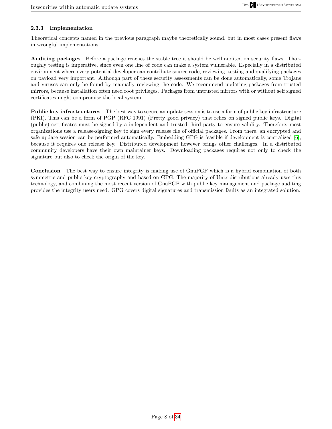### <span id="page-7-0"></span>2.3.3 Implementation

Theoretical concepts named in the previous paragraph maybe theoretically sound, but in most cases present flaws in wrongful implementations.

Auditing packages Before a package reaches the stable tree it should be well audited on security flaws. Thoroughly testing is imperative, since even one line of code can make a system vulnerable. Especially in a distributed environment where every potential developer can contribute source code, reviewing, testing and qualifying packages on payload very important. Although part of these security assessments can be done automatically, some Trojans and viruses can only be found by manually reviewing the code. We recommend updating packages from trusted mirrors, because installation often need root privileges. Packages from untrusted mirrors with or without self signed certificates might compromise the local system.

Public key infrastructures The best way to secure an update session is to use a form of public key infrastructure (PKI). This can be a form of PGP (RFC 1991) (Pretty good privacy) that relies on signed public keys. Digital (public) certificates must be signed by a independent and trusted third party to ensure validity. Therefore, most organizations use a release-signing key to sign every release file of official packages. From there, an encrypted and safe update session can be performed automatically. Embedding GPG is feasible if development is centralized [\[6\]](#page-31-5), because it requires one release key. Distributed development however brings other challenges. In a distributed community developers have their own maintainer keys. Downloading packages requires not only to check the signature but also to check the origin of the key.

Conclusion The best way to ensure integrity is making use of GnuPGP which is a hybrid combination of both symmetric and public key cryptography and based on GPG. The majority of Unix distributions already uses this technology, and combining the most recent version of GnuPGP with public key management and package auditing provides the integrity users need. GPG covers digital signatures and transmission faults as an integrated solution.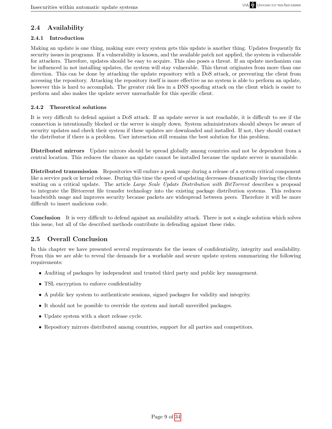## <span id="page-8-0"></span>2.4 Availability

### <span id="page-8-1"></span>2.4.1 Introduction

Making an update is one thing, making sure every system gets this update is another thing. Updates frequently fix security issues in programs. If a vulnerability is known, and the available patch not applied, the system is vulnerable for attackers. Therefore, updates should be easy to acquire. This also poses a threat. If an update mechanism can be influenced in not installing updates, the system will stay vulnerable. This threat originates from more than one direction. This can be done by attacking the update repository with a DoS attack, or preventing the client from accessing the repository. Attacking the repository itself is more effective as no system is able to perform an update, however this is hard to accomplish. The greater risk lies in a DNS spoofing attack on the client which is easier to perform and also makes the update server unreachable for this specific client.

### <span id="page-8-2"></span>2.4.2 Theoretical solutions

It is very difficult to defend against a DoS attack. If an update server is not reachable, it is difficult to see if the connection is intentionally blocked or the server is simply down. System administrators should always be aware of security updates and check their system if these updates are downloaded and installed. If not, they should contact the distributor if there is a problem. User interaction still remains the best solution for this problem.

Distributed mirrors Update mirrors should be spread globally among countries and not be dependent from a central location. This reduces the chance an update cannot be installed because the update server is unavailable.

Distributed transmission Repositories will endure a peak usage during a release of a system critical component like a service pack or kernel release. During this time the speed of updating decreases dramatically leaving the clients waiting on a critical update. The article Large Scale Update Distribution with BitTorrent describes a proposal to integrate the Bittorrent file transfer technology into the existing package distribution systems. This reduces bandwidth usage and improves security because packets are widespread between peers. Therefore it will be more difficult to insert malicious code.

Conclusion It is very difficult to defend against an availability attack. There is not a single solution which solves this issue, but all of the described methods contribute in defending against these risks.

## <span id="page-8-3"></span>2.5 Overall Conclusion

In this chapter we have presented several requirements for the issues of confidentiality, integrity and availability. From this we are able to reveal the demands for a workable and secure update system summarizing the following requirements:

- Auditing of packages by independent and trusted third party and public key management.
- TSL encryption to enforce confidentiality
- A public key system to authenticate sessions, signed packages for validity and integrity.
- It should not be possible to override the system and install unverified packages.
- Update system with a short release cycle.
- Repository mirrors distributed among countries, support for all parties and competitors.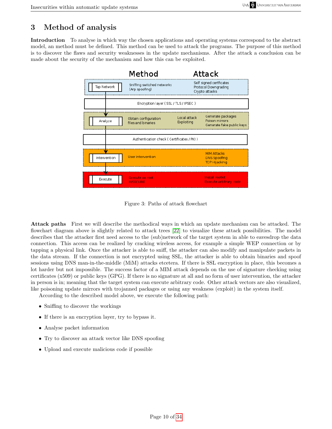# <span id="page-9-0"></span>3 Method of analysis

Introduction To analyse in which way the chosen applications and operating systems correspond to the abstract model, an method must be defined. This method can be used to attack the programs. The purpose of this method is to discover the flaws and security weaknesses in the update mechanisms. After the attack a conclusion can be made about the security of the mechanism and how this can be exploited.



Figure 3: Paths of attack flowchart

Attack paths First we will describe the methodical ways in which an update mechanism can be attacked. The flowchart diagram above is slightly related to attack trees [\[22\]](#page-31-6) to visualize these attack possibilities. The model describes that the attacker first need access to the (sub)network of the target system in able to eavesdrop the data connection. This access can be realized by cracking wireless access, for example a simple WEP connection or by tapping a physical link. Once the attacker is able to sniff, the attacker can also modify and manipulate packets in the data stream. If the connection is not encrypted using SSL, the attacker is able to obtain binaries and spoof sessions using DNS man-in-the-middle (MiM) attacks etcetera. If there is SSL encryption in place, this becomes a lot harder but not impossible. The success factor of a MIM attack depends on the use of signature checking using certificates (x509) or public keys (GPG). If there is no signature at all and no form of user intervention, the attacker in person is in; meaning that the target system can execute arbitrary code. Other attack vectors are also visualized, like poisoning update mirrors with trojanned packages or using any weakness (exploit) in the system itself.

According to the described model above, we execute the following path:

- Sniffing to discover the workings
- If there is an encryption layer, try to bypass it.
- Analyse packet information
- Try to discover an attack vector like DNS spoofing
- Upload and execute malicious code if possible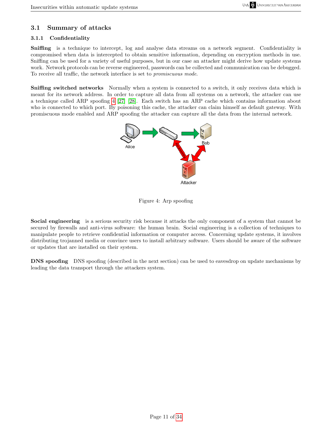## <span id="page-10-0"></span>3.1 Summary of attacks

### <span id="page-10-1"></span>3.1.1 Confidentiality

Sniffing is a technique to intercept, log and analyse data streams on a network segment. Confidentiality is compromised when data is intercepted to obtain sensitive information, depending on encryption methods in use. Sniffing can be used for a variety of useful purposes, but in our case an attacker might derive how update systems work. Network protocols can be reverse engineered, passwords can be collected and communication can be debugged. To receive all traffic, the network interface is set to promiscuous mode.

Sniffing switched networks Normally when a system is connected to a switch, it only receives data which is meant for its network address. In order to capture all data from all systems on a network, the attacker can use a technique called ARP spoofing [4](#page-10-2) [\[27\]](#page-32-1) [\[28\]](#page-32-2). Each switch has an ARP cache which contains information about who is connected to which port. By poisoning this cache, the attacker can claim himself as default gateway. With promiscuous mode enabled and ARP spoofing the attacker can capture all the data from the internal network.



### <span id="page-10-2"></span>Figure 4: Arp spoofing

Social engineering is a serious security risk because it attacks the only component of a system that cannot be secured by firewalls and anti-virus software: the human brain. Social engineering is a collection of techniques to manipulate people to retrieve confidential information or computer access. Concerning update systems, it involves distributing trojanned media or convince users to install arbitrary software. Users should be aware of the software or updates that are installed on their system.

DNS spoofing DNS spoofing (described in the next section) can be used to eavesdrop on update mechanisms by leading the data transport through the attackers system.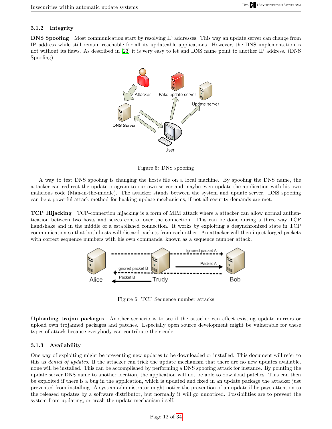#### <span id="page-11-0"></span>3.1.2 Integrity

DNS Spoofing Most communication start by resolving IP addresses. This way an update server can change from IP address while still remain reachable for all its updateable applications. However, the DNS implementation is not without its flaws. As described in [\[23\]](#page-31-7) it is very easy to let and DNS name point to another IP address. (DNS Spoofing)



Figure 5: DNS spoofing

A way to test DNS spoofing is changing the hosts file on a local machine. By spoofing the DNS name, the attacker can redirect the update program to our own server and maybe even update the application with his own malicious code (Man-in-the-middle). The attacker stands between the system and update server. DNS spoofing can be a powerful attack method for hacking update mechanisms, if not all security demands are met.

TCP Hijacking TCP-connection hijacking is a form of MIM attack where a attacker can allow normal authentication between two hosts and seizes control over the connection. This can be done during a three way TCP handshake and in the middle of a established connection. It works by exploiting a desynchronized state in TCP communication so that both hosts will discard packets from each other. An attacker will then inject forged packets with correct sequence numbers with his own commands, known as a sequence number attack.



Figure 6: TCP Sequence number attacks

Uploading trojan packages Another scenario is to see if the attacker can affect existing update mirrors or upload own trojanned packages and patches. Especially open source development might be vulnerable for these types of attack because everybody can contribute their code.

#### <span id="page-11-1"></span>3.1.3 Availability

One way of exploiting might be preventing new updates to be downloaded or installed. This document will refer to this as denial of updates. If the attacker can trick the update mechanism that there are no new updates available, none will be installed. This can be accomplished by performing a DNS spoofing attack for instance. By pointing the update server DNS name to another location, the application will not be able to download patches. This can then be exploited if there is a bug in the application, which is updated and fixed in an update package the attacker just prevented from installing. A system administrator might notice the prevention of an update if he pays attention to the released updates by a software distributor, but normally it will go unnoticed. Possibilities are to prevent the system from updating, or crash the update mechanism itself.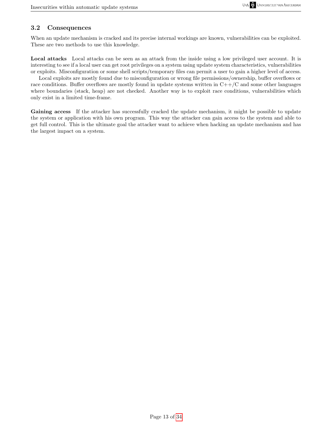## <span id="page-12-0"></span>3.2 Consequences

When an update mechanism is cracked and its precise internal workings are known, vulnerabilities can be exploited. These are two methods to use this knowledge.

Local attacks Local attacks can be seen as an attack from the inside using a low privileged user account. It is interesting to see if a local user can get root privileges on a system using update system characteristics, vulnerabilities or exploits. Misconfiguration or some shell scripts/temporary files can permit a user to gain a higher level of access.

Local exploits are mostly found due to misconfiguration or wrong file permissions/ownership, buffer overflows or race conditions. Buffer overflows are mostly found in update systems written in  $C++/C$  and some other languages where boundaries (stack, heap) are not checked. Another way is to exploit race conditions, vulnerabilities which only exist in a limited time-frame.

Gaining access If the attacker has successfully cracked the update mechanism, it might be possible to update the system or application with his own program. This way the attacker can gain access to the system and able to get full control. This is the ultimate goal the attacker want to achieve when hacking an update mechanism and has the largest impact on a system.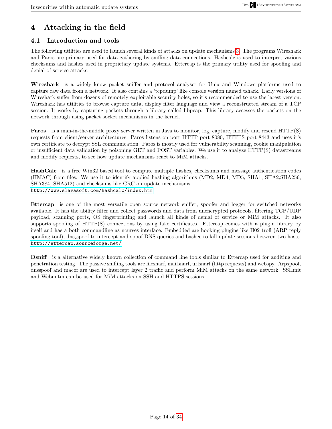# <span id="page-13-0"></span>4 Attacking in the field

## <span id="page-13-1"></span>4.1 Introduction and tools

The following utilities are used to launch several kinds of attacks on update mechanisms [3.](#page-9-0) The programs Wireshark and Paros are primary used for data gathering by sniffing data connections. Hashcalc is used to interpret various checksums and hashes used in proprietary update systems. Ettercap is the primary utility used for spoofing and denial of service attacks.

Wireshark is a widely know packet sniffer and protocol analyser for Unix and Windows platforms used to capture raw data from a network. It also contains a 'tcpdump' like console version named tshark. Early versions of Wireshark suffer from dozens of remotely exploitable security holes; so it's recommended to use the latest version. Wireshark has utilities to browse capture data, display filter language and view a reconstructed stream of a TCP session. It works by capturing packets through a library called libpcap. This library accesses the packets on the network through using packet socket mechanisms in the kernel.

Paros is a man-in-the-middle proxy server written in Java to monitor, log, capture, modify and resend HTTP(S) requests from client/server architectures. Paros listens on port HTTP port 8080, HTTPS port 8443 and uses it's own certificate to decrypt SSL communication. Paros is mostly used for vulnerability scanning, cookie manipulation or insufficient data validation by poisoning GET and POST variables. We use it to analyze HTTP(S) datastreams and modify requests, to see how update mechanisms react to MiM attacks.

HashCalc is a free Win32 based tool to compute multiple hashes, checksums and message authentication codes (HMAC) from files. We use it to identify applied hashing algorithms (MD2, MD4, MD5, SHA1, SHA2,SHA256, SHA384, SHA512) and checksums like CRC on update mechanisms. <http://www.slavasoft.com/hashcalc/index.htm>

Ettercap is one of the most versatile open source network sniffer, spoofer and logger for switched networks available. It has the ability filter and collect passwords and data from unencrypted protocols, filtering TCP/UDP payload, scanning ports, OS fingerprinting and launch all kinds of denial of service or MiM attacks. It also supports spoofing of HTTP(S) connections by using fake certificates. Ettercap comes with a plugin library by itself and has a both commandline as ncurses interface. Embedded are hooking plugins like H02 troll (ARP reply spoofing tool), dns spoof to intercept and spoof DNS queries and bashee to kill update sessions between two hosts. <http://ettercap.sourceforge.net/>

Dsniff is a alternative widely known collection of command line tools similar to Ettercap used for auditing and penetration testing. The passive sniffing tools are filesnarf, mailsnarf, urlsnarf (http requests) and webspy. Arpspoof, dnsspoof and macof are used to intercept layer 2 traffic and perform MiM attacks on the same network. SSHmit and Webmitm can be used for MiM attacks on SSH and HTTPS sessions.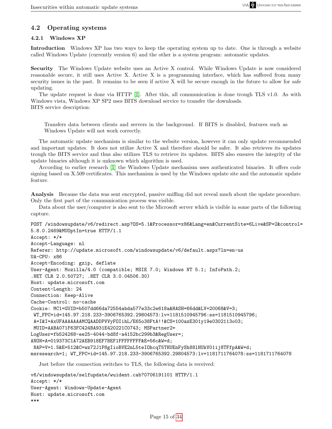## <span id="page-14-0"></span>4.2 Operating systems

### <span id="page-14-1"></span>4.2.1 Windows XP

Introduction Windows XP has two ways to keep the operating system up to date. One is through a website called Windows Update (currently version 6) and the other is a system program: automatic updates.

Security The Windows Update website uses an Active X control. While Windows Update is now considered reasonable secure, it still uses Active X. Active X is a programming interface, which has suffered from many security issues in the past. It remains to be seen if active X will be secure enough in the future to allow for safe updating.

The update request is done via HTTP [\[1\]](#page-31-1). After this, all communication is done trough TLS v1.0. As with Windows vista, Windows XP SP2 uses BITS download service to transfer the downloads. BITS service description:

Transfers data between clients and servers in the background. If BITS is disabled, features such as Windows Update will not work correctly.

The automatic update mechanism is similar to the website version, however it can only update recommended and important updates. It does not utilize Active X and therefore should be safer. It also retrieves its updates trough the BITS service and thus also utilizes TLS to retrieve its updates. BITS also ensures the integrity of the update binaries although it is unknown which algorithm is used.

According to earlier research [\[1\]](#page-31-1) the Windows Update mechanism uses authenticated binaries. It offers code signing based on X.509 certificates. This mechanism is used by the Windows update site and the automatic update feature.

Analysis Because the data was sent encrypted, passive sniffing did not reveal much about the update procedure. Only the first part of the communication process was visible.

Data about the user/computer is also sent to the Microsoft server which is visible in some parts of the following capture.

```
POST /windowsupdate/v6/redirect.asp?OS=5.1&Processor=x86&Lang=en&CurrentSite=6Live&SP=2&control=
5.8.0.2469&MUOptIn=true HTTP/1.1
Accept: */*
Accept-Language: nl
Referer: http://update.microsoft.com/windowsupdate/v6/default.aspx?ln=en-us
UA-CPU: x86
Accept-Encoding: gzip, deflate
User-Agent: Mozilla/4.0 (compatible; MSIE 7.0; Windows NT 5.1; InfoPath.2;
.NET CLR 2.0.50727; .NET CLR 3.0.04506.30)
Host: update.microsoft.com
Content-Length: 24
Connection: Keep-Alive
Cache-Control: no-cache
Cookie: MC1=GUID=b507dd66da72554abda577e33c2e618a&HASH=66dd&LV=20068&V=3;
 WT_FPC=id=145.97.218.233-3906765392.29804573:lv=1181510945796:ss=1181510945796;
 A=I&I=AxUFAAAAAAAMCQAADDPVVyFOIihL/E65o38FtA!!&CS=100azE301y19e0302113o03;
 MUID=AABA071F63FC424BA931E420221C0743; MSPartner2=
LogUser=fb524268-ee25-4044-bd8f-a4152bc299b3&RegUser=;
ANON=A=019373C1A72AEB918EF7BEF1FFFFFFFF&E=56c&W=d;
 NAP=V=1.5&E=512&C=wz72J1P8gIioBVE2nL5teIOhcqT5THUEnFySh88lHUkV01ij8TFfpA&W=d;
msresearch=1; WT_FPC=id=145.97.218.233-3906765392.29804573:lv=1181711764078:ss=1181711764078
   Just before the connection switches to TLS, the following data is received:
```
v6/windowsupdate/selfupdate/wuident.cab?0706191101 HTTP/1.1 Accept: \*/\* User-Agent: Windows-Update-Agent Host: update.microsoft.com \*\*\*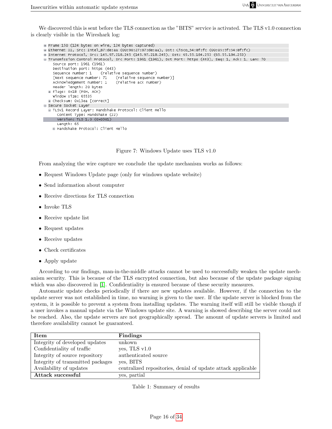We discovered this is sent before the TLS connection as the "BITS" service is activated. The TLS v1.0 connection is clearly visible in the Wireshark log:

```
⊕ Frame 150 (124 bytes on wire, 124 bytes captured)
E Ethernet II, Src: Intel_87:de:aa (00:90:27:87:de:aa), Dst: Cisco_54:8f:fc (00:05:5f:54:8f:fc)
⊞ Internet Protocol, Src: 145.97.218.245 (145.97.218.245), Dst: 65.55.184.253 (65.55.184.253)
⊟ Transmission Control Protocol, Src Port: 1961 (1961), Dst Port: https (443), Seq: 1, Ack: 1, Len: 70
    Source port: 1961 (1961)
    Destination port: https (443)
    Sequence number: 1 (relative sequence number)
    [Next sequence number: 71
                                 (relative sequence number)]
    Acknowledgement number: 1
                                 (relative ack number)
    Header length: 20 bytes
  ⊞ Flags: 0x18 (PSH, ACK)
   Window size: 65535
  E Checksum: 0x13ea [correct]
Secure Socket Layer
  E TLSv1 Record Layer: Handshake Protocol: Client Hello
      Content Type: Handshake (22)
      Version: TLS 1.0 (0x0301)
      Length: 65
    ⊞ Handshake Protocol: Client Hello
```
Figure 7: Windows Update uses TLS v1.0

From analyzing the wire capture we conclude the update mechanism works as follows:

- Request Windows Update page (only for windows update website)
- Send information about computer
- Receive directions for TLS connection
- Invoke TLS
- Receive update list
- Request updates
- Receive updates
- Check certificates
- Apply update

According to our findings, man-in-the-middle attacks cannot be used to successfully weaken the update mechanism security. This is because of the TLS encrypted connection, but also because of the update package signing which was also discovered in [\[1\]](#page-31-1). Confidentiality is ensured because of these security measures.

Automatic update checks periodically if there are new updates available. However, if the connection to the update server was not established in time, no warning is given to the user. If the update server is blocked from the system, it is possible to prevent a system from installing updates. The warning itself will still be visible though if a user invokes a manual update via the Windows update site. A warning is showed describing the server could not be reached. Also, the update servers are not geographically spread. The amount of update servers is limited and therefore availability cannot be guaranteed.

| Item                              | Findings                                                     |
|-----------------------------------|--------------------------------------------------------------|
| Integrity of developed updates    | unkown                                                       |
| Confidentiality of traffic        | yes, TLS $v1.0$                                              |
| Integrity of source repository    | authenticated source                                         |
| Integrity of transmitted packages | yes, BITS                                                    |
| Availability of updates           | centralized repositories, denial of update attack applicable |
| Attack successful                 | yes, partial                                                 |

Table 1: Summary of results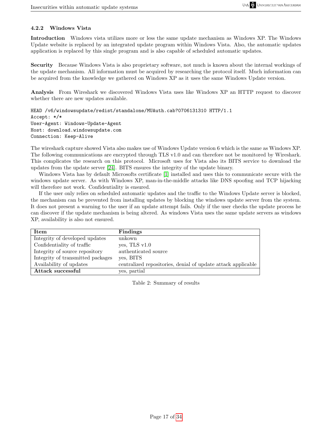#### <span id="page-16-0"></span>4.2.2 Windows Vista

Introduction Windows vista utilizes more or less the same update mechanism as Windows XP. The Windows Update website is replaced by an integrated update program within Windows Vista. Also, the automatic updates application is replaced by this single program and is also capable of scheduled automatic updates.

Security Because Windows Vista is also proprietary software, not much is known about the internal workings of the update mechanism. All information must be acquired by researching the protocol itself. Much information can be acquired from the knowledge we gathered on Windows XP as it uses the same Windows Update version.

Analysis From Wireshark we discovered Windows Vista uses like Windows XP an HTTP request to discover whether there are new updates available.

HEAD /v6/windowsupdate/redist/standalone/MUAuth.cab?0706131310 HTTP/1.1 Accept: \*/\* User-Agent: Windows-Update-Agent Host: download.windowsupdate.com Connection: Keep-Alive

The wireshark capture showed Vista also makes use of Windows Update version 6 which is the same as Windows XP. The following communications are encrypted through TLS v1.0 and can therefore not be monitored by Wireshark. This complicates the research on this protocol. Microsoft uses for Vista also its BITS service to download the updates from the update server [\[24\]](#page-32-3). BITS ensures the integrity of the update binary.

Windows Vista has by default Microsofts certificate [\[1\]](#page-31-1) installed and uses this to communicate secure with the windows update server. As with Windows XP, man-in-the-middle attacks like DNS spoofing and TCP hijacking will therefore not work. Confidentiality is ensured.

If the user only relies on scheduled automatic updates and the traffic to the Windows Update server is blocked, the mechanism can be prevented from installing updates by blocking the windows update server from the system. It does not present a warning to the user if an update attempt fails. Only if the user checks the update process he can discover if the update mechanism is being altered. As windows Vista uses the same update servers as windows XP, availability is also not ensured.

| <b>Item</b>                       | Findings                                                     |
|-----------------------------------|--------------------------------------------------------------|
| Integrity of developed updates    | unkown                                                       |
| Confidentiality of traffic        | yes, TLS $v1.0$                                              |
| Integrity of source repository    | authenticated source                                         |
| Integrity of transmitted packages | ves, BITS                                                    |
| Availability of updates           | centralized repositories, denial of update attack applicable |
| Attack successful                 | yes, partial                                                 |

Table 2: Summary of results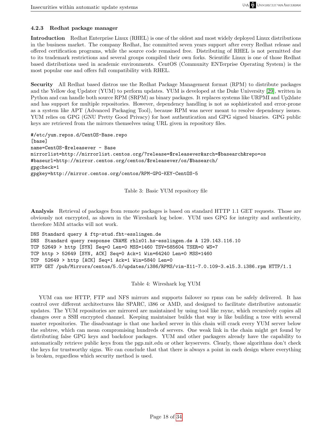#### <span id="page-17-0"></span>4.2.3 Redhat package manager

Introduction Redhat Enterprise Linux (RHEL) is one of the oldest and most widely deployed Linux distributions in the business market. The company Redhat, Inc committed seven years support after every Redhat release and offered certification programs, while the source code remained free. Distributing of RHEL is not permitted due to its trademark restrictions and several groups compiled their own forks. Scientific Linux is one of those Redhat based distributions used in academic environments. CentOS (Community ENTerprise Operating System) is the most popular one and offers full compatibility with RHEL.

Security All Redhat based distros use the Redhat Package Management format (RPM) to distribute packages and the Yellow dog Updater (YUM) to perform updates. YUM is developed at the Duke University [\[29\]](#page-32-4), written in Python and can handle both source RPM (SRPM) as binary packages. It replaces systems like URPMI and Up2date and has support for multiple repositories. However, dependency handling is not as sophisticated and error-prone as a system like APT (Advanced Packaging Tool), because RPM was never meant to resolve dependency issues. YUM relies on GPG (GNU Pretty Good Privacy) for host authentication and GPG signed binaries. GPG public keys are retrieved from the mirrors themselves using URL given in repository files.

```
#/etc/yum.repos.d/CentOS-Base.repo
[base]
name=CentOS-$releasever - Base
mirrorlist=http://mirrorlist.centos.org/?release=$releasever&arch=$basearch&repo=os
#baseurl=http://mirror.centos.org/centos/$releasever/os/$basearch/
gpgcheck=1
gpgkey=http://mirror.centos.org/centos/RPM-GPG-KEY-CentOS-5
```
Table 3: Basic YUM repository file

Analysis Retrieval of packages from remote packages is based on standard HTTP 1.1 GET requests. Those are obviously not encrypted, as shown in the Wireshark log below. YUM uses GPG for integrity and authenticity, therefore MiM attacks will not work.

```
DNS Standard query A ftp-stud.fht-esslingen.de
DNS Standard query response CNAME rhlx01.hs-esslingen.de A 129.143.116.10
TCP 52649 > http [SYN] Seq=0 Len=0 MSS=1460 TSV=585604 TSER=0 WS=7
TCP http > 52649 [SYN, ACK] Seq=0 Ack=1 Win=64240 Len=0 MSS=1460
TCP 52649 > http [ACK] Seq=1 Ack=1 Win=5840 Len=0
HTTP GET /pub/Mirrors/centos/5.0/updates/i386/RPMS/vim-X11-7.0.109-3.el5.3.i386.rpm HTTP/1.1
```
Table 4: Wireshark log YUM

YUM can use HTTP, FTP and NFS mirrors and supports failover so rpms can be safely delivered. It has control over different architectures like SPARC, i386 or AMD, and designed to facilitate distributive automatic updates. The YUM repositories are mirrored are maintained by using tool like rsync, which recursively copies all changes over a SSH encrypted channel. Keeping maintainer builds that way is like building a tree with several master repositories. The disadvantage is that one hacked server in this chain will crack every YUM server below the subtree, which can mean compromising hundreds of servers. One weak link in the chain might get found by distributing false GPG keys and backdoor packages. YUM and other packagers already have the capability to automatically retrieve public keys from the pgp.mit.edu or other keyservers. Clearly, those algorithms don't check the keys for trustworthy signs. We can conclude that that there is always a point in each design where everything is broken, regardless which security method is used.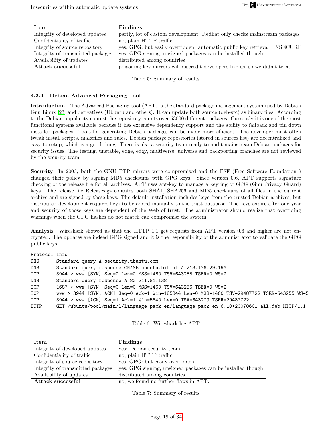| Item                              | Findings                                                                     |
|-----------------------------------|------------------------------------------------------------------------------|
| Integrity of developed updates    | partly, lot of custom development: Redhat only checks mainstream packages    |
| Confidentiality of traffic        | no, plain HTTP traffic                                                       |
| Integrity of source repository    | yes, GPG: but easily overridden: automatic public key retrieval=INSECURE     |
| Integrity of transmitted packages | yes, GPG signing, unsigned packages can be installed though                  |
| Availability of updates           | distributed among countries                                                  |
| Attack successful                 | poisoning key-mirrors will discredit developers like us, so we didn't tried. |

Table 5: Summary of results

#### <span id="page-18-0"></span>4.2.4 Debian Advanced Packaging Tool

Introduction The Advanced Packaging tool (APT) is the standard package management system used by Debian Gnu Linux [\[23\]](#page-31-7) and derivatives (Ubuntu and others). It can update both source (deb-src) as binary files. According to the Debian popularity contest the repository counts over 53000 different packages. Currently it is one of the most functional systems available because it has extensive dependency support and the ability to failback and pin down installed packages. Tools for generating Debian packages can be made more efficient. The developer must often tweak install scripts, makefiles and rules. Debian package repositories (stored in sources.list) are decentralized and easy to setup, which is a good thing. There is also a security team ready to audit mainstream Debian packages for security issues. The testing, unstable, edge, edgy, multiverse, universe and backporting branches are not reviewed by the security team.

Security In 2003, both the GNU FTP mirrors were compromised and the FSF (Free Software Foundation ) changed their policy by signing MD5 checksums with GPG keys. Since version 0.6, APT supports signature checking of the release file for all archives. APT uses apt-key to manage a keyring of GPG (Gnu Privacy Guard) keys. The release file Releases.gz contains both SHA1, SHA256 and MD5 checksums of all files in the current archive and are signed by these keys. The default installation includes keys from the trusted Debian archives, but distributed development requires keys to be added manually to the trust database. The keys expire after one year and security of those keys are dependent of the Web of trust. The administrator should realize that overriding warnings when the GPG hashes do not match can compromise the system.

Analysis Wireshark showed us that the HTTP 1.1 get requests from APT version 0.6 and higher are not encrypted. The updates are indeed GPG signed and it is the responsibility of the administrator to validate the GPG public keys.

| Protocol Info |                                                                                           |  |  |
|---------------|-------------------------------------------------------------------------------------------|--|--|
| DNS           | Standard query A security.ubuntu.com                                                      |  |  |
| DNS           | Standard query response CNAME ubuntu.bit.nl A 213.136.29.196                              |  |  |
| TCP           | 3944 > www [SYN] Seq=0 Len=0 MSS=1460 TSV=643255 TSER=0 WS=2                              |  |  |
| DNS           | Standard query response A 82.211.81.138                                                   |  |  |
| TCP           | 1687 > www [SYN] Seq=0 Len=0 MSS=1460 TSV=643256 TSER=0 WS=2                              |  |  |
| <b>TCP</b>    | www > 3944 [SYN, ACK] Seq=0 Ack=1 Win=185344 Len=0 MSS=1460 TSV=29487722 TSER=643255 WS=5 |  |  |
| TCP           | 3944 > www [ACK] Seq=1 Ack=1 Win=5840 Len=0 TSV=643279 TSER=29487722                      |  |  |
| HTTP          | GET /ubuntu/pool/main/l/language-pack-en/language-pack-en_6.10+20070601_all.deb HTTP/1.1  |  |  |

Table 6: Wireshark log APT

| Item                              | Findings                                                    |
|-----------------------------------|-------------------------------------------------------------|
| Integrity of developed updates    | yes: Debian security team                                   |
| Confidentiality of traffic        | no, plain HTTP traffic                                      |
| Integrity of source repository    | yes, GPG: but easily overridden                             |
| Integrity of transmitted packages | yes, GPG signing, unsigned packages can be installed though |
| Availability of updates           | distributed among countries                                 |
| Attack successful                 | no, we found no further flaws in APT.                       |

Table 7: Summary of results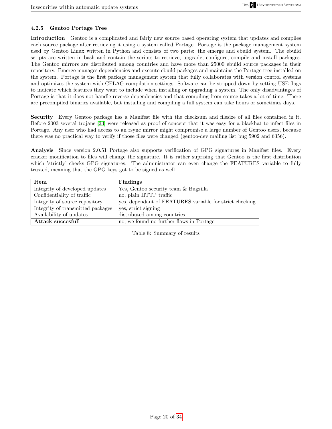### <span id="page-19-0"></span>4.2.5 Gentoo Portage Tree

Introduction Gentoo is a complicated and fairly new source based operating system that updates and compiles each source package after retrieving it using a system called Portage. Portage is the package management system used by Gentoo Linux written in Python and consists of two parts: the emerge and ebuild system. The ebuild scripts are written in bash and contain the scripts to retrieve, upgrade, configure, compile and install packages. The Gentoo mirrors are distributed among countries and have more than 25000 ebuild source packages in their repository. Emerge manages dependencies and execute ebuild packages and maintains the Portage tree installed on the system. Portage is the first package management system that fully collaborates with version control systems and optimizes the system with CFLAG compilation settings. Software can be stripped down by setting USE flags to indicate which features they want to include when installing or upgrading a system. The only disadvantages of Portage is that it does not handle reverse dependencies and that compiling from source takes a lot of time. There are precompiled binaries available, but installing and compiling a full system can take hours or sometimes days.

Security Every Gentoo package has a Manifest file with the checksum and filesize of all files contained in it. Before 2003 several trojans [\[23\]](#page-31-7) were released as proof of concept that it was easy for a blackhat to infect files in Portage. Any user who had access to an rsync mirror might compromise a large number of Gentoo users, because there was no practical way to verify if those files were changed (gentoo-dev mailing list bug 5902 and 6356).

Analysis Since version 2.0.51 Portage also supports verification of GPG signatures in Manifest files. Every cracker modification to files will change the signature. It is rather suprising that Gentoo is the first distribution which 'strictly' checks GPG signatures. The administrator can even change the FEATURES variable to fully trusted, meaning that the GPG keys got to be signed as well.

| Item                              | Findings                                                |
|-----------------------------------|---------------------------------------------------------|
| Integrity of developed updates    | Yes, Gentoo security team & Bugzilla                    |
| Confidentiality of traffic        | no, plain HTTP traffic                                  |
| Integrity of source repository    | yes, dependant of FEATURES variable for strict checking |
| Integrity of transmitted packages | yes, strict signing                                     |
| Availability of updates           | distributed among countries                             |
| <b>Attack succesfull</b>          | no, we found no further flaws in Portage                |

Table 8: Summary of results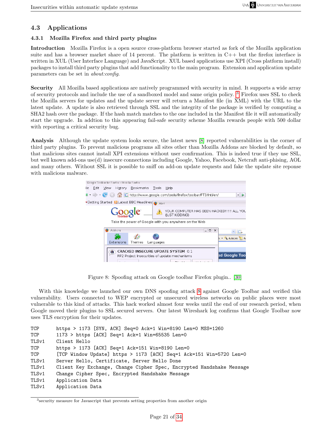## <span id="page-20-0"></span>4.3 Applications

### <span id="page-20-1"></span>4.3.1 Mozilla Firefox and third party plugins

Introduction Mozilla Firefox is a open source cross-platform browser started as fork of the Mozilla application suite and has a browser market share of 14 percent. The platform is written in C++ but the firefox interface is written in XUL (User Interface Language) and JavaScript. XUL based applications use XPI (Cross platform install) packages to install third party plugins that add functionality to the main program. Extension and application update parameters can be set in about:config.

Security All Mozilla based applications are natively programmed with security in mind. It supports a wide array of security protocols and include the use of a sandboxed model and same origin policy. [3](#page-20-2) Firefox uses SSL to check the Mozilla servers for updates and the update server will return a Manifest file (in XML) with the URL to the latest update. A update is also retrieved through SSL and the integrity of the package is verified by computing a SHA2 hash over the package. If the hash match matches to the one included in the Manifest file it will automatically start the upgrade. In addtion to this appearing fail-safe security scheme Mozilla rewards people with 500 dollar with reporting a critical security bug.

Analysis Although the update system looks secure, the latest news [\[8\]](#page-31-8) reported vulnerabilities in the corner of third party plugins. To prevent malicious programs all sites other than Mozilla Addons are blocked by default, so that malicious sites cannot install XPI extensions without user confirmation. This is indeed true if they use SSL, but well known add-ons use(d) insecure connections including Google, Yahoo, Facebook, Netcraft anti-phising, AOL and many others. Without SSL it is possible to sniff on add-on update requests and fake the update site reponse with malicious malware.



Figure 8: Spoofing attack on Google toolbar Firefox plugin.. [\[30\]](#page-32-5)

<span id="page-20-3"></span>With this knowledge we launched our own DNS spoofing attack [8](#page-20-3) against Google Toolbar and verified this vulnerability. Users connected to WEP encrypted or unsecured wireless networks on public places were most vulnerable to this kind of attacks. This hack worked almost four weeks until the end of our research period, when Google moved their plugins to SSL secured servers. Our latest Wireshark log confirms that Google Toolbar now uses TLS encryption for their updates.

| TCP   | https > 1173 [SYN, ACK] Seq=0 Ack=1 Win=8190 Len=0 MSS=1260          |
|-------|----------------------------------------------------------------------|
| TCP   | $1173$ > https [ACK] Seq=1 Ack=1 Win=65535 Len=0                     |
| TLSv1 | Client Hello                                                         |
| TCP   | https > 1173 [ACK] Seq=1 Ack=151 Win=8190 Len=0                      |
| TCP   | [TCP Window Update] https > 1173 [ACK] Seq=1 Ack=151 Win=5720 Len=0  |
| TLSv1 | Server Hello, Certificate, Server Hello Done                         |
| TLSv1 | Client Key Exchange, Change Cipher Spec, Encrypted Handshake Message |
| TLSv1 | Change Cipher Spec, Encrypted Handshake Message                      |
| TLSv1 | Application Data                                                     |
| TLSv1 | Application Data                                                     |
|       |                                                                      |

<span id="page-20-2"></span><sup>&</sup>lt;sup>3</sup> security measure for Javascript that prevents setting properties from another origin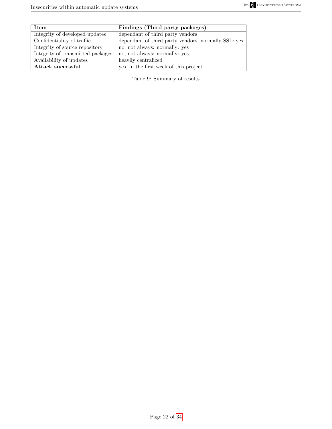| Item                              | Findings (Third party packages)                     |
|-----------------------------------|-----------------------------------------------------|
| Integrity of developed updates    | dependant of third party vendors                    |
| Confidentiality of traffic        | dependant of third party vendors, normally SSL: yes |
| Integrity of source repository    | no, not always: normally: yes                       |
| Integrity of transmitted packages | no, not always: normally: yes                       |
| Availability of updates           | heavily centralized                                 |
| Attack successful                 | yes, in the first week of this project.             |

Table 9: Summary of results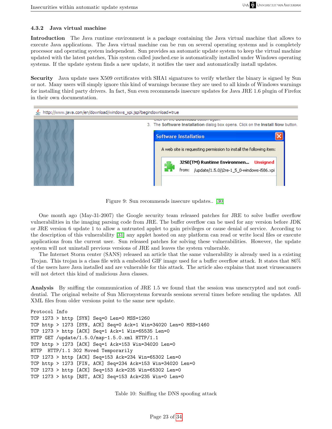#### <span id="page-22-0"></span>4.3.2 Java virtual machine

Introduction The Java runtime environment is a package containing the Java virtual machine that allows to execute Java applications. The Java virtual machine can be run on several operating systems and is completely processor and operating system independent. Sun provides an automatic update system to keep the virtual machine updated with the latest patches, This system called jusched.exe is automatically installed under Windows operating systems. If the update system finds a new update, it notifies the user and automatically install updates.

Security Java update uses X509 certificates with SHA1 signatures to verify whether the binary is signed by Sun or not. Many users will simply ignore this kind of warnings because they are used to all kinds of Windows warnings for installing third party drivers. In fact, Sun even recommends insecure updates for Java JRE 1.6 plugin of Firefox in their own documentation.



Figure 9: Sun recommends insecure updates.. [\[30\]](#page-32-5)

One month ago (May-31-2007) the Google security team released patches for JRE to solve buffer overflow vulnerabilities in the imaging parsing code from JRE. The buffer overflow can be used for any version before JDK or JRE version 6 update 1 to allow a untrusted applet to gain privileges or cause denial of service. According to the description of this vulnerability [\[31\]](#page-32-6) any applet hosted on any platform can read or write local files or execute applications from the current user. Sun released patches for solving these vulnerabilities. However, the update system will not uninstall previous versions of JRE and leaves the system vulnerable.

The Internet Storm center (SANS) released an article that the same vulnerability is already used in a existing Trojan. This trojan is a class file with a embedded GIF image used for a buffer overflow attack. It states that 86% of the users have Java installed and are vulnerable for this attack. The article also explains that most virusscanners will not detect this kind of malicious Java classes.

Analysis By sniffing the communication of JRE 1.5 we found that the session was unencrypted and not confidential. The original website of Sun Microsystems forwards sessions several times before sending the updates. All XML files from older versions point to the same new update.

```
Protocol Info
TCP 1273 > http [SYN] Seq=0 Len=0 MSS=1260
TCP http > 1273 [SYN, ACK] Seq=0 Ack=1 Win=34020 Len=0 MSS=1460
TCP 1273 > http [ACK] Seq=1 Ack=1 Win=65535 Len=0HTTP GET /update/1.5.0/map-1.5.0.xml HTTP/1.1
TCP http > 1273 [ACK] Seq=1 Ack=153 Win=34020 Len=0
HTTP HTTP/1.1 302 Moved Temporarily
TCP 1273 > http [ACK] Seq=153 Ack=234 Win=65302 Len=0
TCP http > 1273 [FIN, ACK] Seq=234 Ack=153 Win=34020 Len=0
TCP 1273 > http [ACK] Seq=153 Ack=235 Win=65302 Len=0
TCP 1273 > http [RST, ACK] Seq=153 Ack=235 Win=0 Len=0
```
Table 10: Sniffing the DNS spoofing attack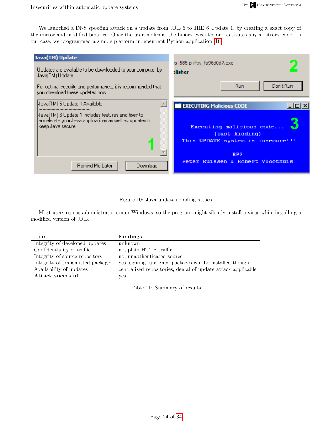We launched a DNS spoofing attack on a update from JRE 6 to JRE 6 Update 1, by creating a exact copy of the mirror and modified binaries. Once the user confirms, the binary executes and activates any arbitrary code. In our case, we programmed a simple platform independent Python application [\[10\]](#page-23-0)

| Java(TM) Update<br>Updates are available to be downloaded to your computer by<br>Java(TM) Update.                                                                     | is-i586-p-iftw_fa96d0d7.exe<br>blisher                                                                                                     |
|-----------------------------------------------------------------------------------------------------------------------------------------------------------------------|--------------------------------------------------------------------------------------------------------------------------------------------|
| For optimal security and performance, it is recommended that<br>you download these updates now.                                                                       | Don't Run<br>Run                                                                                                                           |
| Java(TM) 6 Update 1 Available.<br>Java(TM) 6 Update 1 includes features and fixes to<br>accelerate your Java applications as well as updates to<br> keep Java secure. | <b>EXECUTING Malicious CODE</b><br><u>_  미 ×</u><br>Executing malicious code<br>(just kidding)<br>This UPDATE system is insecure!!!<br>RP2 |
| Remind Me Later<br>Download                                                                                                                                           | Peter Ruissen & Robert Vloothuis                                                                                                           |

<span id="page-23-0"></span>Figure 10: Java update spoofing attack

Most users run as administrator under Windows, so the program might silently install a virus while installing a modified version of JRE.

| Item                              | <b>Findings</b>                                              |
|-----------------------------------|--------------------------------------------------------------|
| Integrity of developed updates    | unknown                                                      |
| Confidentiality of traffic        | no, plain HTTP traffic                                       |
| Integrity of source repository    | no, unauthenticated source                                   |
| Integrity of transmitted packages | yes, signing, unsigned packages can be installed though      |
| Availability of updates           | centralized repositories, denial of update attack applicable |
| Attack succesful                  | yes                                                          |

Table 11: Summary of results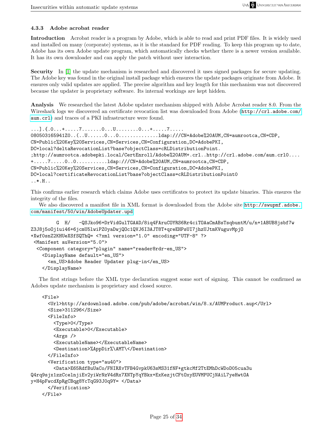#### <span id="page-24-0"></span>4.3.3 Adobe acrobat reader

Introduction Acrobat reader is a program by Adobe, which is able to read and print PDF files. It is widely used and installed on many (corporate) systems, as it is the standard for PDF reading. To keep this program up to date, Adobe has its own Adobe update program, which automatically checks whether there is a newer version available. It has its own downloader and can apply the patch without user interaction.

Security In [\[1\]](#page-31-1) the update mechanism is researched and discovered it uses signed packages for secure updating. The Adobe key was found in the original install package which ensures the update packages originate from Adobe. It ensures only valid updates are applied. The precise algorithm and key length for this mechanism was not discovered because the updater is proprietary software. Its internal workings are kept hidden.

Analysis We researched the latest Adobe updater mechanism shipped with Adobe Acrobat reader 8.0. From the Wireshark logs we discovered an certificate revocation list was downloaded from Adobe ([http://crl.adobe.com/]( http://crl.adobe.com/aum.crl) [aum.crl]( http://crl.adobe.com/aum.crl)) and traces of a PKI infrastructure were found.

```
...].{.0...+.....7.......0...U........0...+.....7.....
080503165941Z0..(..U......0...0................1dap:///CN=Adobe%20AUM,CN=aumrootca,CN=CDP,
CN=Public%20Key%20Services,CN=Services,CN=Configuration,DC=AdobePKI,
DC=local?deltaRevocationList?base?objectClass=cRLDistributionPoint.
;http://aumrootca.adobepki.local/CertEnroll/Adobe%20AUM+.crl..http://crl.adobe.com/aum.crl0....
+.....7.....0..0...........ldap:///CN=Adobe%20AUM,CN=aumrootca,CN=CDP,
CN=Public%20Key%20Services,CN=Services,CN=Configuration,DC=AdobePKI,
DC=local?certificateRevocationList?base?objectClass=cRLDistributionPoint0
..*.H..
```
This confirms earlier research which claims Adobe uses certificates to protect its update binaries. This ensures the integrity of the files.

We also discovered a manifest file in XML format is downloaded from the Adobe site [http://swupmf.adobe.](http://swupmf.adobe.com/manifest/50/win/AdobeUpdater.upd) [com/manifest/50/win/AdobeUpdater.upd](http://swupmf.adobe.com/manifest/50/win/AdobeUpdater.upd).

```
G H/ -QSJko96+DrVidGulTGAAD/8iq4FAruCOYRS6Rr4ciTOAaCmABsTsqbuntM/u/n+1ABUB8jsbf7w
Z3J8j5oOj1ui46+6jcmU5lwiPZ0yaDwjQOc1QVJ6I3AJT8T+qreEHPsUI7jhzUJtmKVuguvMpjO
+Xwf0snZ2KHUeXSfSQThQ= <?xml version="1.0" encoding="UTF-8" ?>
 <Manifest auVersion="5.0">
  <Component category="plugin" name="reader8rdr-en_US">
    <DisplayName default="en_US">
      <en_US>Adobe Reader Updater plug-in</en_US>
    </DisplayName>
```
The first strings before the XML type declaration suggest some sort of signing. This cannot be confirmed as Adobes update mechanism is proprietary and closed source.

```
<File>
      <Url>http://ardownload.adobe.com/pub/adobe/acrobat/win/8.x/AUMProduct.aup</Url>
      <Size>311296</Size>
      <FileInfo>
        <Type>0</Type>
        <Executable>0</Executable>
        <Args />
        <ExecutableName></ExecutableName>
        <Destination>%AppDir%\AMT\</Destination>
      </FileInfo>
      <Verification type="au40">
        <Data>E65RdfBuUaCo/FNIRXvTFB4GvpkU63sMS31fNF+gtkcMf2TtEMhDcWDoD05cua3u
Q4rq9sjx1zzCcelnjiEv2yiWrNzV4dRx7XNTpYqYBkx+ExKezjtCFtOxyEUVMPUCjNAiL7yeHwtOA
y+H4pFwcdXpRgCBqg8YcTqG93J0q9Y= </Data>
      </Verification>
    </File>
```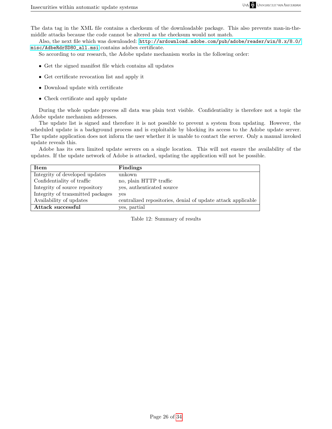The data tag in the XML file contains a checksum of the downloadable package. This also prevents man-in-themiddle attacks because the code cannot be altered as the checksum would not match.

Also, the next file which was downloaded: [http://ardownload.adobe.com/pub/adobe/reader/win/8.x/8.0/](http://ardownload.adobe.com/pub/adobe/reader/win/8.x/8.0/misc/AdbeRdrSD80_all.msi) [misc/AdbeRdrSD80\\_all.msi](http://ardownload.adobe.com/pub/adobe/reader/win/8.x/8.0/misc/AdbeRdrSD80_all.msi) contains adobes certificate.

So according to our research, the Adobe update mechanism works in the following order:

- Get the signed manifest file which contains all updates
- Get certificate revocation list and apply it
- Download update with certificate
- Check certificate and apply update

During the whole update process all data was plain text visible. Confidentiality is therefore not a topic the Adobe update mechanism addresses.

The update list is signed and therefore it is not possible to prevent a system from updating. However, the scheduled update is a background process and is exploitable by blocking its access to the Adobe update server. The update application does not inform the user whether it is unable to contact the server. Only a manual invoked update reveals this.

Adobe has its own limited update servers on a single location. This will not ensure the availability of the updates. If the update network of Adobe is attacked, updating the application will not be possible.

| Item                              | Findings                                                     |
|-----------------------------------|--------------------------------------------------------------|
| Integrity of developed updates    | unkown                                                       |
| Confidentiality of traffic        | no, plain HTTP traffic                                       |
| Integrity of source repository    | yes, authenticated source                                    |
| Integrity of transmitted packages | yes                                                          |
| Availability of updates           | centralized repositories, denial of update attack applicable |
| Attack successful                 | yes, partial                                                 |

Table 12: Summary of results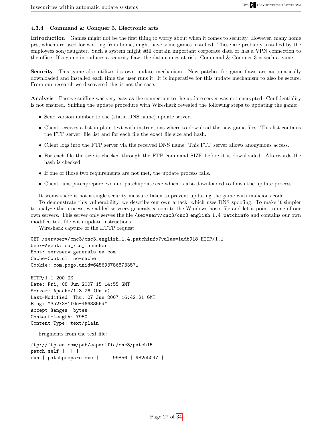#### <span id="page-26-0"></span>4.3.4 Command & Conquer 3, Electronic arts

Introduction Games might not be the first thing to worry about when it comes to security. However, many home pcs, which are used for working from home, might have some games installed. These are probably installed by the employees son/daughter. Such a system might still contain important corporate data or has a VPN connection to the office. If a game introduces a security flaw, the data comes at risk. Command & Conquer 3 is such a game.

Security This game also utilizes its own update mechanism. New patches for game flaws are automatically downloaded and installed each time the user runs it. It is imperative for this update mechanism to also be secure. From our research we discovered this is not the case.

Analysis Passive sniffing was very easy as the connection to the update server was not encrypted. Confidentiality is not ensured. Sniffing the update procedure with Wireshark revealed the following steps to updating the game:

- Send version number to the (static DNS name) update server.
- Client receives a list in plain text with instructions where to download the new game files. This list contains the FTP server, file list and for each file the exact file size and hash.
- Client logs into the FTP server via the received DNS name. This FTP server allows anonymous access.
- For each file the size is checked through the FTP command SIZE before it is downloaded. Afterwards the hash is checked
- If one of those two requirements are not met, the update process fails.
- Client runs patchprepare.exe and patchupdate.exe which is also downloaded to finish the update process.

It seems there is not a single security measure taken to prevent updating the game with malicious code.

To demonstrate this vulnerability, we describe our own attack, which uses DNS spoofing. To make it simpler to analyze the process, we added servserv.generals.ea.com to the Windows hosts file and let it point to one of our own servers. This server only serves the file /servserv/cnc3/cnc3 english 1.4.patchinfo and contains our own modified text file with update instructions.

Wireshark capture of the HTTP request:

GET /servserv/cnc3/cnc3\_english\_1.4.patchinfo?value=1adb918 HTTP/1.1 User-Agent: ea\_rts\_launcher Host: servserv.generals.ea.com Cache-Control: no-cache Cookie: com.pogo.unid=6456937868733571

HTTP/1.1 200 OK Date: Fri, 08 Jun 2007 15:14:55 GMT Server: Apache/1.3.26 (Unix) Last-Modified: Thu, 07 Jun 2007 16:42:21 GMT ETag: "3a273-1f0e-4668356d" Accept-Ranges: bytes Content-Length: 7950 Content-Type: text/plain

Fragments from the text file:

```
ftp://ftp.ea.com/pub/eapacific/cnc3/patch15
patch_self | | | |
run | patchprepare.exe | 99856 | 982eb047 |
```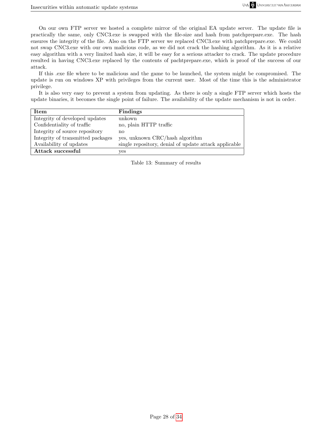On our own FTP server we hosted a complete mirror of the original EA update server. The update file is practically the same, only CNC3.exe is swapped with the file-size and hash from patchprepare.exe. The hash ensures the integrity of the file. Also on the FTP server we replaced CNC3.exe with patchprepare.exe. We could not swap CNC3.exe with our own malicious code, as we did not crack the hashing algorithm. As it is a relative easy algorithm with a very limited hash size, it will be easy for a serious attacker to crack. The update procedure resulted in having CNC3.exe replaced by the contents of pachtprepare.exe, which is proof of the success of our attack.

If this .exe file where to be malicious and the game to be launched, the system might be compromised. The update is run on windows XP with privileges from the current user. Most of the time this is the administrator privilege.

It is also very easy to prevent a system from updating. As there is only a single FTP server which hosts the update binaries, it becomes the single point of failure. The availability of the update mechanism is not in order.

| Item                              | <b>Findings</b>                                       |
|-----------------------------------|-------------------------------------------------------|
| Integrity of developed updates    | unkown                                                |
| Confidentiality of traffic        | no, plain HTTP traffic                                |
| Integrity of source repository    | nο                                                    |
| Integrity of transmitted packages | yes, unknown CRC/hash algorithm                       |
| Availability of updates           | single repository, denial of update attack applicable |
| Attack successful                 | yes                                                   |

Table 13: Summary of results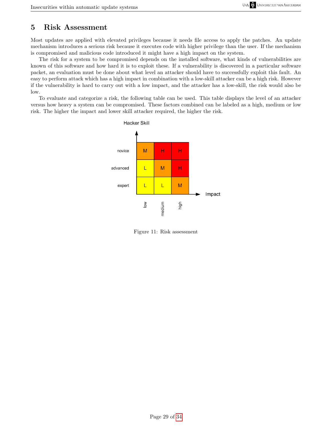## <span id="page-28-0"></span>5 Risk Assessment

Most updates are applied with elevated privileges because it needs file access to apply the patches. An update mechanism introduces a serious risk because it executes code with higher privilege than the user. If the mechanism is compromised and malicious code introduced it might have a high impact on the system.

The risk for a system to be compromised depends on the installed software, what kinds of vulnerabilities are known of this software and how hard it is to exploit these. If a vulnerability is discovered in a particular software packet, an evaluation must be done about what level an attacker should have to successfully exploit this fault. An easy to perform attack which has a high impact in combination with a low-skill attacker can be a high risk. However if the vulnerability is hard to carry out with a low impact, and the attacker has a low-skill, the risk would also be low.

To evaluate and categorize a risk, the following table can be used. This table displays the level of an attacker versus how heavy a system can be compromised. These factors combined can be labeled as a high, medium or low risk. The higher the impact and lower skill attacker required, the higher the risk.



Figure 11: Risk assessment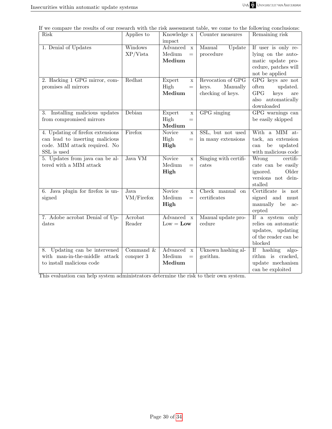If we compare the results of our research with the risk assessment table, we come to the following conclusions:

| Risk                               | Applies to   | Knowledge x                  | Counter measures      | Remaining risk          |
|------------------------------------|--------------|------------------------------|-----------------------|-------------------------|
|                                    |              | impact                       |                       |                         |
| 1. Denial of Updates               | Windows      | Advanced<br>$\mathbf x$      | Update<br>Manual      | If user is only re-     |
|                                    | $XP/V$ ista  | Medium<br>$=$                | procedure             | lying on the auto-      |
|                                    |              | Medium                       |                       | matic update pro-       |
|                                    |              |                              |                       | cedure, patches will    |
|                                    |              |                              |                       | not be applied          |
| 2. Hacking 1 GPG mirror, com-      | Redhat       | Expert<br>$\mathbf x$        | Revocation of GPG     | GPG keys are not        |
| promises all mirrors               |              | High<br>$=$                  | Manually<br>keys.     | often<br>updated.       |
|                                    |              | Medium                       | checking of keys.     | GPG<br>keys<br>are      |
|                                    |              |                              |                       | also automatically      |
|                                    |              |                              |                       | downloaded              |
| Installing malicious updates<br>3. | Debian       | Expert<br>$\mathbf x$        | GPG singing           | GPG warnings can        |
| from compromised mirrors           |              | High<br>$=$                  |                       | be easily skipped       |
|                                    |              | Medium                       |                       |                         |
| 4. Updating of firefox extensions  | Firefox      | Novice<br>$\mathbf x$        | SSL, but not used     | With a MIM at-          |
| can lead to inserting malicious    |              | High<br>$=$                  | in many extensions    | tack, an extension      |
| code. MIM attack required. No      |              | High                         |                       | updated<br>be<br>can    |
| SSL is used                        |              |                              |                       | with malicious code     |
| 5. Updates from java can be al-    | Java VM      | <b>Novice</b><br>$\mathbf X$ | Singing with certifi- | Wrong<br>$c$ ertifi-    |
| tered with a MIM attack            |              | Medium<br>$=$                | cates                 | cate can be easily      |
|                                    |              | High                         |                       | Older<br>ignored.       |
|                                    |              |                              |                       | versions not dein-      |
|                                    |              |                              |                       | stalled                 |
| 6. Java plugin for firefox is un-  | Java         | <b>Novice</b><br>$\mathbf x$ | Check manual<br>on    | Certificate is<br>not   |
| signed                             | VM/Firefox   | Medium<br>$=$                | certificates          | signed and<br>must      |
|                                    |              | High                         |                       | manually<br>be<br>$ac-$ |
|                                    |              |                              |                       | cepted                  |
| 7. Adobe acrobat Denial of Up-     | Acrobat      | Advanced<br>$\mathbf{x}$     | Manual update pro-    | If a system only        |
| dates                              | Reader       | $Low = Low$                  | cedure                | relies on automatic     |
|                                    |              |                              |                       | updates, updating       |
|                                    |              |                              |                       | of the reader can be    |
|                                    |              |                              |                       | blocked                 |
| 8. Updating can be intervened      | Command $\&$ | Advanced<br>$\mathbf x$      | Uknown hashing al-    | hashing<br>If<br>algo-  |
| with man-in-the-middle attack      | conquer 3    | Medium<br>$=$                | gorithm.              | rithm is cracked,       |
| to install malicious code          |              | Medium                       |                       | update mechanism        |
|                                    |              |                              |                       | can be exploited        |

This evaluation can help system administrators determine the risk to their own system.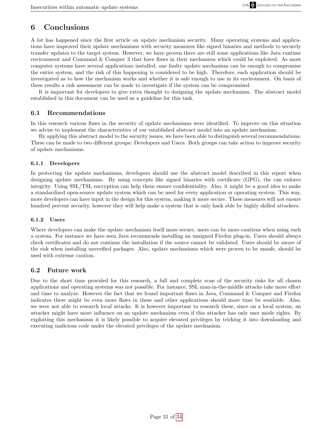# <span id="page-30-0"></span>6 Conclusions

A lot has happened since the first article on update mechanism security. Many operating systems and applications have improved their update mechanisms with security measures like signed binaries and methods to securely transfer updates to the target system. However, we have proven there are still some applications like Java runtime environment and Command & Conquer 3 that have flaws in their mechanism which could be exploited. As most computer systems have several applications installed, one faulty update mechanism can be enough to compromise the entire system, and the risk of this happening is considered to be high. Therefore, each application should be investigated as to how the mechanism works and whether it is safe enough to use in its environment. On basis of these results a risk assessment can be made to investigate if the system can be compromised.

It is important for developers to give extra thought to designing the update mechanism. The abstract model established in this document can be used as a guideline for this task.

#### <span id="page-30-1"></span>6.1 Recommendations

In this research various flaws in the security of update mechanisms were identified. To improve on this situation we advise to implement the characteristics of our established abstract model into an update mechanism.

By applying this abstract model to the security issues, we have been able to distinguish several recommendations. These can be made to two different groups: Developers and Users. Both groups can take action to improve security of update mechanisms.

#### <span id="page-30-2"></span>6.1.1 Developers

In protecting the update mechanisms, developers should use the abstract model described in this report when designing update mechanisms. By using concepts like signed binaries with certificate (GPG), the can enforce integrity. Using SSL/TSL encryption can help them ensure confidentiality. Also, it might be a good idea to make a standardized open-source update system which can be used for every application or operating system. This way, more developers can have input in the design for this system, making it more secure. These measures will not ensure hundred percent security, however they will help make a system that is only hack able by highly skilled attackers.

#### <span id="page-30-3"></span>6.1.2 Users

Where developers can make the update mechanism itself more secure, users can be more cautious when using such a system. For instance we have seen Java recommends installing an unsigned Firefox plug-in. Users should always check certificates and do not continue the installation if the source cannot be validated. Users should be aware of the risk when installing unverified packages. Also, update mechanisms which were proven to be unsafe, should be used with extreme caution.

#### <span id="page-30-4"></span>6.2 Future work

Due to the short time provided for this research, a full and complete scan of the security risks for all chosen applications and operating systems was not possible. For instance, SSL man-in-the-middle attacks take more effort and time to analyze. However the fact that we found important flaws in Java, Command & Conquer and Firefox indicates there might be even more flaws in these and other applications should more time be available. Also, we were not able to research local attacks. It is however important to research these, since on a local system, an attacker might have more influence on an update mechanism even if this attacker has only user mode rights. By exploiting this mechanism it is likely possible to acquire elevated privileges by tricking it into downloading and executing malicious code under the elevated privileges of the update mechanism.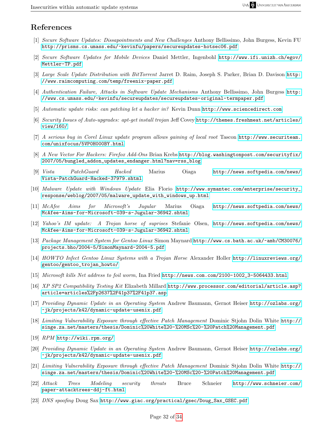## References

- <span id="page-31-1"></span><span id="page-31-0"></span>[1] Secure Software Updates: Dissapointments and New Challenges Anthony Bellissimo, John Burgess, Kevin FU <http://prisms.cs.umass.edu/~kevinfu/papers/secureupdates-hotsec06.pdf>
- <span id="page-31-2"></span>[2] Secure Software Updates for Mobile Devices Daniel Mettler, Ingenbohl [http://www.ifi.unizh.ch/egov/](http://www.ifi.unizh.ch/egov/Mettler-TP.pdf) [Mettler-TP.pdf](http://www.ifi.unizh.ch/egov/Mettler-TP.pdf)
- <span id="page-31-3"></span>[3] Large Scale Update Distribution with BitTorrent Jarret D. Raim, Joseph S. Parker, Brian D. Davison [http:](http://www.raimcomputing.com/temp/freenix-paper.pdf) [//www.raimcomputing.com/temp/freenix-paper.pdf](http://www.raimcomputing.com/temp/freenix-paper.pdf)
- <span id="page-31-4"></span>[4] Authentication Failure, Attacks in Software Update Mechanisms Anthony Bellissimo, John Burgess [http:](http://www.cs.umass.edu/~kevinfu/secureupdates/secureupdates-original-termpaper.pdf) [//www.cs.umass.edu/~kevinfu/secureupdates/secureupdates-original-termpaper.pdf](http://www.cs.umass.edu/~kevinfu/secureupdates/secureupdates-original-termpaper.pdf)
- [5] Automatic update risks: can patching let a hacker in? Kevin Dunn <http://www.sciencedirect.com>
- <span id="page-31-5"></span>[6] Security Issues of Auto-upgrades: apt-get install trojan Jeff Covey [http://themes.freshmeat.net/articles/](http://themes.freshmeat.net/articles/view/160/) [view/160/](http://themes.freshmeat.net/articles/view/160/)
- [7] A serious bug in Corel Linux update program allows gaining of local root Tascon [http://www.securiteam.](http://www.securiteam.com/unixfocus/5VP0H000BY.html) [com/unixfocus/5VP0H000BY.html](http://www.securiteam.com/unixfocus/5VP0H000BY.html)
- <span id="page-31-8"></span>[8] A New Vector For Hackers: Firefox Add-Ons Brian Krebs [http://blog.washingtonpost.com/securityfix/](http://blog.washingtonpost.com/securityfix/2007/05/bungled_addon_updates_endanger.html?nav=rss_blog) [2007/05/bungled\\_addon\\_updates\\_endanger.html?nav=rss\\_blog](http://blog.washingtonpost.com/securityfix/2007/05/bungled_addon_updates_endanger.html?nav=rss_blog)
- [9] Vista PatchGuard Hacked Marius Oiaga [http://news.softpedia.com/news/](http://news.softpedia.com/news/Vista-PatchGuard-Hacked-37979.shtml) [Vista-PatchGuard-Hacked-37979.shtml](http://news.softpedia.com/news/Vista-PatchGuard-Hacked-37979.shtml)
- [10] Malware Update with Windows Update Elia Florio [http://www.symantec.com/enterprise/security\\_](http://www.symantec.com/enterprise/security_response/weblog/2007/05/malware_update_with_windows_up.html) [response/weblog/2007/05/malware\\_update\\_with\\_windows\\_up.html](http://www.symantec.com/enterprise/security_response/weblog/2007/05/malware_update_with_windows_up.html)
- [11] McAfee Aims for Microsoft's Jugular Marius Oiaga [http://news.softpedia.com/news/](http://news.softpedia.com/news/McAfee-Aims-for-Microsoft-039-s-Jugular-36942.shtml) [McAfee-Aims-for-Microsoft-039-s-Jugular-36942.shtml](http://news.softpedia.com/news/McAfee-Aims-for-Microsoft-039-s-Jugular-36942.shtml)
- [12] Yahoo's IM update: A Trojan horse of suprises Stefanie Olsen, [http://news.softpedia.com/news/](http://news.softpedia.com/news/McAfee-Aims-for-Microsoft-039-s-Jugular-36942.shtml) [McAfee-Aims-for-Microsoft-039-s-Jugular-36942.shtml](http://news.softpedia.com/news/McAfee-Aims-for-Microsoft-039-s-Jugular-36942.shtml)
- [13] Package Management System for Gentoo Linux Simon Maynard [http://www.cs.bath.ac.uk/~amb/CM30076/](http://www.cs.bath.ac.uk/~amb/CM30076/projects.bho/2004-5/SimonMaynard-2004-5.pdf) [projects.bho/2004-5/SimonMaynard-2004-5.pdf](http://www.cs.bath.ac.uk/~amb/CM30076/projects.bho/2004-5/SimonMaynard-2004-5.pdf)
- [14] HOWTO Infect Gentoo Linux Systems with a Trojan Horse Alexander Holler [http://linuxreviews.org/](http://linuxreviews.org/gentoo/gentoo_trojan_howto/) [gentoo/gentoo\\_trojan\\_howto/](http://linuxreviews.org/gentoo/gentoo_trojan_howto/)
- [15] Microsoft kills Net address to foil worm, Ina Fried [http://news.com.com/2100-1002\\_3-5064433.html](http://news.com.com/2100-1002_3-5064433.html)
- [16] XP SP2 Compatibility Testing Kit Elizabeth Millard [http://www.processor.com/editorial/article.asp?](http://www.processor.com/editorial/article.asp?article=articles%2Fp2637%2F41p37%2F41p37.asp) [article=articles%2Fp2637%2F41p37%2F41p37.asp](http://www.processor.com/editorial/article.asp?article=articles%2Fp2637%2F41p37%2F41p37.asp)
- [17] Providing Dynamic Update in an Operating System Andrew Baumann, Gernot Heiser [http://ozlabs.org/](http://ozlabs.org/~jk/projects/k42/dynamic-update-usenix.pdf) [~jk/projects/k42/dynamic-update-usenix.pdf](http://ozlabs.org/~jk/projects/k42/dynamic-update-usenix.pdf)
- [18] Limiting Vulnerability Exposure through effective Patch Management Dominic Stjohn Dolin White [http://](http://singe.za.net/masters/thesis/Dominic%20White%20-%20MSc%20-%20Patch%20Management.pdf) [singe.za.net/masters/thesis/Dominic%20White%20-%20MSc%20-%20Patch%20Management.pdf](http://singe.za.net/masters/thesis/Dominic%20White%20-%20MSc%20-%20Patch%20Management.pdf)
- [19] RPM <http://wiki.rpm.org/>
- [20] Providing Dynamic Update in an Operating System Andrew Baumann, Gernot Heiser [http://ozlabs.org/](http://ozlabs.org/~jk/projects/k42/dynamic-update-usenix.pdf) [~jk/projects/k42/dynamic-update-usenix.pdf](http://ozlabs.org/~jk/projects/k42/dynamic-update-usenix.pdf)
- [21] Limiting Vulnerability Exposure through effective Patch Management Dominic Stjohn Dolin White [http://](http://singe.za.net/masters/thesis/Dominic%20White%20-%20MSc%20-%20Patch%20Management.pdf) [singe.za.net/masters/thesis/Dominic%20White%20-%20MSc%20-%20Patch%20Management.pdf](http://singe.za.net/masters/thesis/Dominic%20White%20-%20MSc%20-%20Patch%20Management.pdf)
- <span id="page-31-6"></span>[22] Attack Trees Modeling security threats Bruce Schneier [http://www.schneier.com/](http://www.schneier.com/paper-attacktrees-ddj-ft.html) [paper-attacktrees-ddj-ft.html](http://www.schneier.com/paper-attacktrees-ddj-ft.html)
- <span id="page-31-7"></span>[23] DNS spoofing Doug Sax [http://www.giac.org/practical/gsec/Doug\\_Sax\\_GSEC.pdf](http://www.giac.org/practical/gsec/Doug_Sax_GSEC.pdf)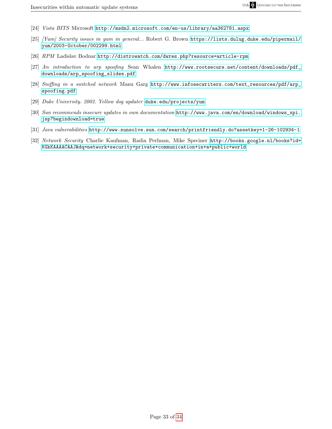- <span id="page-32-3"></span>[24] Vista BITS Microsoft <http://msdn2.microsoft.com/en-us/library/aa362781.aspx>
- [25] [Yum] Security issues in yum in general... Robert G. Brown [https://lists.dulug.duke.edu/pipermail/](https://lists.dulug.duke.edu/pipermail/yum/2003-October/002299.html) [yum/2003-October/002299.html](https://lists.dulug.duke.edu/pipermail/yum/2003-October/002299.html)
- [26] RPM Ladislav Bodnar <http://distrowatch.com/dwres.php?resource=article-rpm>
- <span id="page-32-1"></span>[27] An introduction to arp spoofing Sean Whalen [http://www.rootsecure.net/content/downloads/pdf\\_](http://www.rootsecure.net/content/downloads/pdf_downloads/arp_spoofing_slides.pdf) [downloads/arp\\_spoofing\\_slides.pdf](http://www.rootsecure.net/content/downloads/pdf_downloads/arp_spoofing_slides.pdf)
- <span id="page-32-2"></span>[28] Sniffing in a switched network Manu Garg [http://www.infosecwriters.com/text\\_resources/pdf/arp\\_](http://www.infosecwriters.com/text_resources/pdf/arp_spoofing.pdf) [spoofing.pdf](http://www.infosecwriters.com/text_resources/pdf/arp_spoofing.pdf)
- <span id="page-32-4"></span>[29] Duke University. 2002. Yellow dog updater <duke.edu/projects/yum>
- <span id="page-32-5"></span>[30] Sun recommends insecure updates in own documentation [http://www.java.com/en/download/windows\\_xpi.](http://www.java.com/en/download/windows_xpi.jsp?begindownload=true) [jsp?begindownload=true](http://www.java.com/en/download/windows_xpi.jsp?begindownload=true)
- <span id="page-32-6"></span>[31] Java vulnerabilities <http://www.sunsolve.sun.com/search/printfriendly.do?assetkey=1-26-102934-1>
- <span id="page-32-0"></span>[32] Network Security Charlie Kaufman, Radia Perlman, Mike Speciner [http://books.google.nl/books?id=](http://books.google.nl/books?id=KGkKAAAACAAJ&dq=network+security+private+communication+in+a+public+world) [KGkKAAAACAAJ&dq=network+security+private+communication+in+a+public+world](http://books.google.nl/books?id=KGkKAAAACAAJ&dq=network+security+private+communication+in+a+public+world)